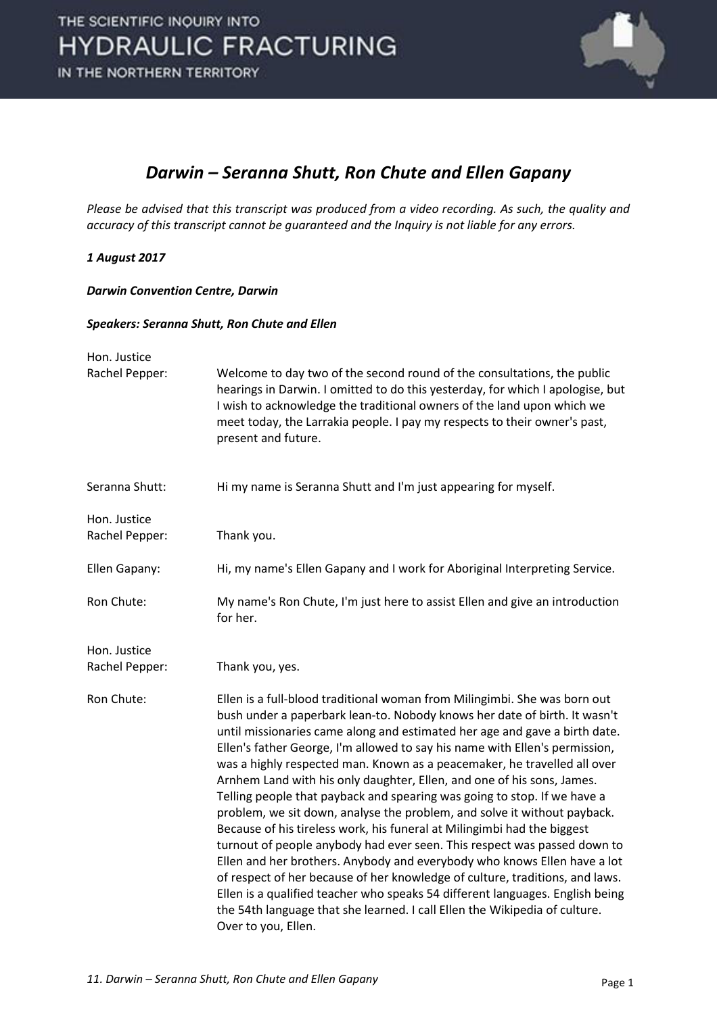

#### *Darwin – Seranna Shutt, Ron Chute and Ellen Gapany*

*Please be advised that this transcript was produced from a video recording. As such, the quality and accuracy of this transcript cannot be guaranteed and the Inquiry is not liable for any errors.* 

#### *1 August 2017*

*Darwin Convention Centre, Darwin* 

#### *Speakers: Seranna Shutt, Ron Chute and Ellen*

| Hon. Justice                   |                                                                                                                                                                                                                                                                                                                                                                                                                                                                                                                                                                                                                                                                                                                                                                                                                                                                                                                                                                                                                                                                                                                                            |
|--------------------------------|--------------------------------------------------------------------------------------------------------------------------------------------------------------------------------------------------------------------------------------------------------------------------------------------------------------------------------------------------------------------------------------------------------------------------------------------------------------------------------------------------------------------------------------------------------------------------------------------------------------------------------------------------------------------------------------------------------------------------------------------------------------------------------------------------------------------------------------------------------------------------------------------------------------------------------------------------------------------------------------------------------------------------------------------------------------------------------------------------------------------------------------------|
| Rachel Pepper:                 | Welcome to day two of the second round of the consultations, the public<br>hearings in Darwin. I omitted to do this yesterday, for which I apologise, but<br>I wish to acknowledge the traditional owners of the land upon which we<br>meet today, the Larrakia people. I pay my respects to their owner's past,<br>present and future.                                                                                                                                                                                                                                                                                                                                                                                                                                                                                                                                                                                                                                                                                                                                                                                                    |
| Seranna Shutt:                 | Hi my name is Seranna Shutt and I'm just appearing for myself.                                                                                                                                                                                                                                                                                                                                                                                                                                                                                                                                                                                                                                                                                                                                                                                                                                                                                                                                                                                                                                                                             |
| Hon. Justice<br>Rachel Pepper: | Thank you.                                                                                                                                                                                                                                                                                                                                                                                                                                                                                                                                                                                                                                                                                                                                                                                                                                                                                                                                                                                                                                                                                                                                 |
| Ellen Gapany:                  | Hi, my name's Ellen Gapany and I work for Aboriginal Interpreting Service.                                                                                                                                                                                                                                                                                                                                                                                                                                                                                                                                                                                                                                                                                                                                                                                                                                                                                                                                                                                                                                                                 |
| Ron Chute:                     | My name's Ron Chute, I'm just here to assist Ellen and give an introduction<br>for her.                                                                                                                                                                                                                                                                                                                                                                                                                                                                                                                                                                                                                                                                                                                                                                                                                                                                                                                                                                                                                                                    |
| Hon. Justice<br>Rachel Pepper: | Thank you, yes.                                                                                                                                                                                                                                                                                                                                                                                                                                                                                                                                                                                                                                                                                                                                                                                                                                                                                                                                                                                                                                                                                                                            |
| Ron Chute:                     | Ellen is a full-blood traditional woman from Milingimbi. She was born out<br>bush under a paperbark lean-to. Nobody knows her date of birth. It wasn't<br>until missionaries came along and estimated her age and gave a birth date.<br>Ellen's father George, I'm allowed to say his name with Ellen's permission,<br>was a highly respected man. Known as a peacemaker, he travelled all over<br>Arnhem Land with his only daughter, Ellen, and one of his sons, James.<br>Telling people that payback and spearing was going to stop. If we have a<br>problem, we sit down, analyse the problem, and solve it without payback.<br>Because of his tireless work, his funeral at Milingimbi had the biggest<br>turnout of people anybody had ever seen. This respect was passed down to<br>Ellen and her brothers. Anybody and everybody who knows Ellen have a lot<br>of respect of her because of her knowledge of culture, traditions, and laws.<br>Ellen is a qualified teacher who speaks 54 different languages. English being<br>the 54th language that she learned. I call Ellen the Wikipedia of culture.<br>Over to you, Ellen. |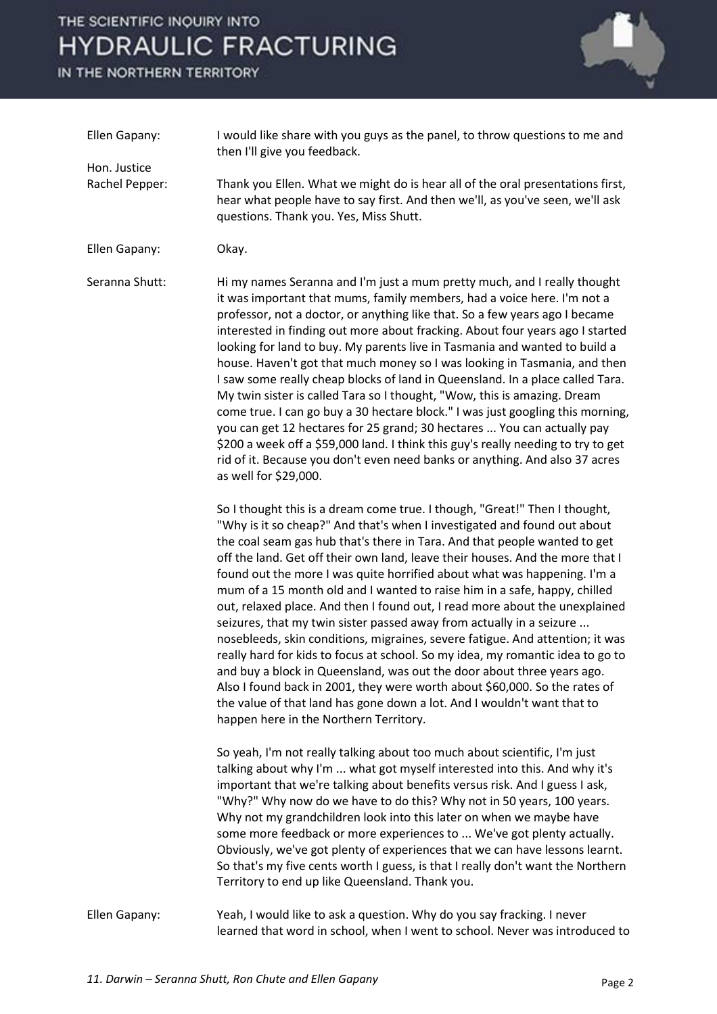# THE SCIENTIFIC INQUIRY INTO **HYDRAULIC FRACTURING**

IN THE NORTHERN TERRITORY



| Ellen Gapany:<br>Hon. Justice<br>Rachel Pepper: | I would like share with you guys as the panel, to throw questions to me and<br>then I'll give you feedback.                                                                                                                                                                                                                                                                                                                                                                                                                                                                                                                                                                                                                                                                                                                                                                                                                                                                                                                                                                          |
|-------------------------------------------------|--------------------------------------------------------------------------------------------------------------------------------------------------------------------------------------------------------------------------------------------------------------------------------------------------------------------------------------------------------------------------------------------------------------------------------------------------------------------------------------------------------------------------------------------------------------------------------------------------------------------------------------------------------------------------------------------------------------------------------------------------------------------------------------------------------------------------------------------------------------------------------------------------------------------------------------------------------------------------------------------------------------------------------------------------------------------------------------|
|                                                 | Thank you Ellen. What we might do is hear all of the oral presentations first,<br>hear what people have to say first. And then we'll, as you've seen, we'll ask<br>questions. Thank you. Yes, Miss Shutt.                                                                                                                                                                                                                                                                                                                                                                                                                                                                                                                                                                                                                                                                                                                                                                                                                                                                            |
| Ellen Gapany:                                   | Okay.                                                                                                                                                                                                                                                                                                                                                                                                                                                                                                                                                                                                                                                                                                                                                                                                                                                                                                                                                                                                                                                                                |
| Seranna Shutt:                                  | Hi my names Seranna and I'm just a mum pretty much, and I really thought<br>it was important that mums, family members, had a voice here. I'm not a<br>professor, not a doctor, or anything like that. So a few years ago I became<br>interested in finding out more about fracking. About four years ago I started<br>looking for land to buy. My parents live in Tasmania and wanted to build a<br>house. Haven't got that much money so I was looking in Tasmania, and then<br>I saw some really cheap blocks of land in Queensland. In a place called Tara.<br>My twin sister is called Tara so I thought, "Wow, this is amazing. Dream<br>come true. I can go buy a 30 hectare block." I was just googling this morning,<br>you can get 12 hectares for 25 grand; 30 hectares  You can actually pay<br>\$200 a week off a \$59,000 land. I think this guy's really needing to try to get<br>rid of it. Because you don't even need banks or anything. And also 37 acres<br>as well for \$29,000.                                                                                |
|                                                 | So I thought this is a dream come true. I though, "Great!" Then I thought,<br>"Why is it so cheap?" And that's when I investigated and found out about<br>the coal seam gas hub that's there in Tara. And that people wanted to get<br>off the land. Get off their own land, leave their houses. And the more that I<br>found out the more I was quite horrified about what was happening. I'm a<br>mum of a 15 month old and I wanted to raise him in a safe, happy, chilled<br>out, relaxed place. And then I found out, I read more about the unexplained<br>seizures, that my twin sister passed away from actually in a seizure<br>nosebleeds, skin conditions, migraines, severe fatigue. And attention; it was<br>really hard for kids to focus at school. So my idea, my romantic idea to go to<br>and buy a block in Queensland, was out the door about three years ago.<br>Also I found back in 2001, they were worth about \$60,000. So the rates of<br>the value of that land has gone down a lot. And I wouldn't want that to<br>happen here in the Northern Territory. |
|                                                 | So yeah, I'm not really talking about too much about scientific, I'm just<br>talking about why I'm  what got myself interested into this. And why it's<br>important that we're talking about benefits versus risk. And I guess I ask,<br>"Why?" Why now do we have to do this? Why not in 50 years, 100 years.<br>Why not my grandchildren look into this later on when we maybe have<br>some more feedback or more experiences to  We've got plenty actually.<br>Obviously, we've got plenty of experiences that we can have lessons learnt.<br>So that's my five cents worth I guess, is that I really don't want the Northern<br>Territory to end up like Queensland. Thank you.                                                                                                                                                                                                                                                                                                                                                                                                  |
| Ellen Gapany:                                   | Yeah, I would like to ask a question. Why do you say fracking. I never<br>learned that word in school, when I went to school. Never was introduced to                                                                                                                                                                                                                                                                                                                                                                                                                                                                                                                                                                                                                                                                                                                                                                                                                                                                                                                                |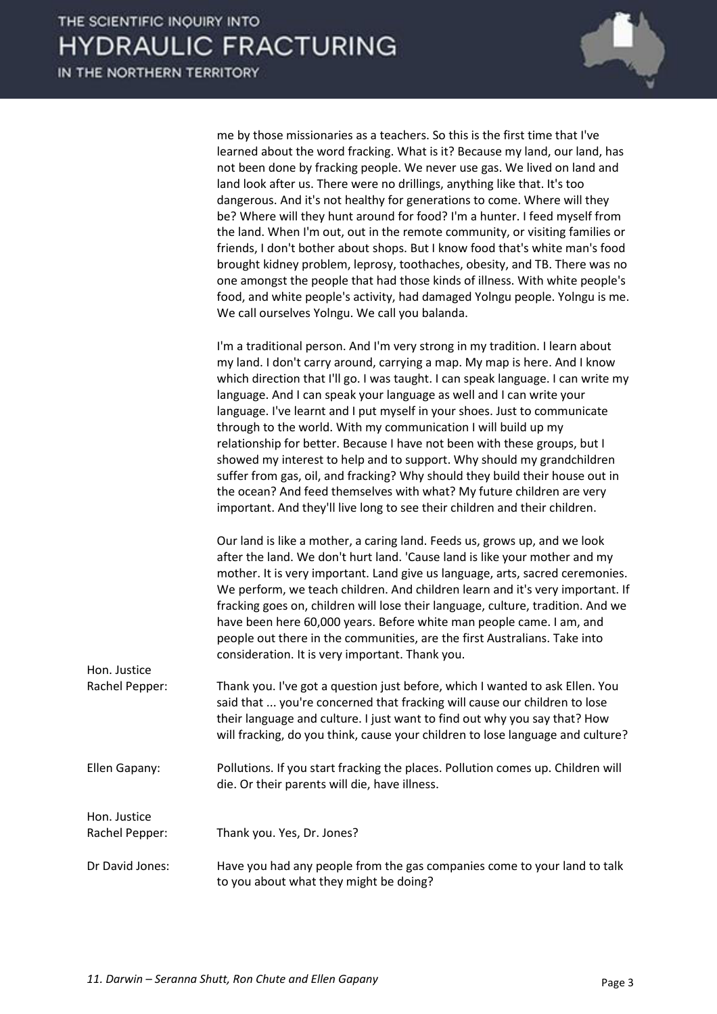

me by those missionaries as a teachers. So this is the first time that I've learned about the word fracking. What is it? Because my land, our land, has not been done by fracking people. We never use gas. We lived on land and land look after us. There were no drillings, anything like that. It's too dangerous. And it's not healthy for generations to come. Where will they be? Where will they hunt around for food? I'm a hunter. I feed myself from the land. When I'm out, out in the remote community, or visiting families or friends, I don't bother about shops. But I know food that's white man's food brought kidney problem, leprosy, toothaches, obesity, and TB. There was no one amongst the people that had those kinds of illness. With white people's food, and white people's activity, had damaged Yolngu people. Yolngu is me. We call ourselves Yolngu. We call you balanda.

 I'm a traditional person. And I'm very strong in my tradition. I learn about my land. I don't carry around, carrying a map. My map is here. And I know which direction that I'll go. I was taught. I can speak language. I can write my language. And I can speak your language as well and I can write your language. I've learnt and I put myself in your shoes. Just to communicate through to the world. With my communication I will build up my relationship for better. Because I have not been with these groups, but I showed my interest to help and to support. Why should my grandchildren suffer from gas, oil, and fracking? Why should they build their house out in the ocean? And feed themselves with what? My future children are very important. And they'll live long to see their children and their children.

 Our land is like a mother, a caring land. Feeds us, grows up, and we look after the land. We don't hurt land. 'Cause land is like your mother and my mother. It is very important. Land give us language, arts, sacred ceremonies. We perform, we teach children. And children learn and it's very important. If fracking goes on, children will lose their language, culture, tradition. And we have been here 60,000 years. Before white man people came. I am, and people out there in the communities, are the first Australians. Take into consideration. It is very important. Thank you.

- Rachel Pepper: Thank you. I've got a question just before, which I wanted to ask Ellen. You said that ... you're concerned that fracking will cause our children to lose their language and culture. I just want to find out why you say that? How will fracking, do you think, cause your children to lose language and culture?
- Ellen Gapany: Pollutions. If you start fracking the places. Pollution comes up. Children will die. Or their parents will die, have illness.

Rachel Pepper: Thank you. Yes, Dr. Jones?

Hon. Justice

Hon. Justice

Dr David Jones: Have you had any people from the gas companies come to your land to talk to you about what they might be doing?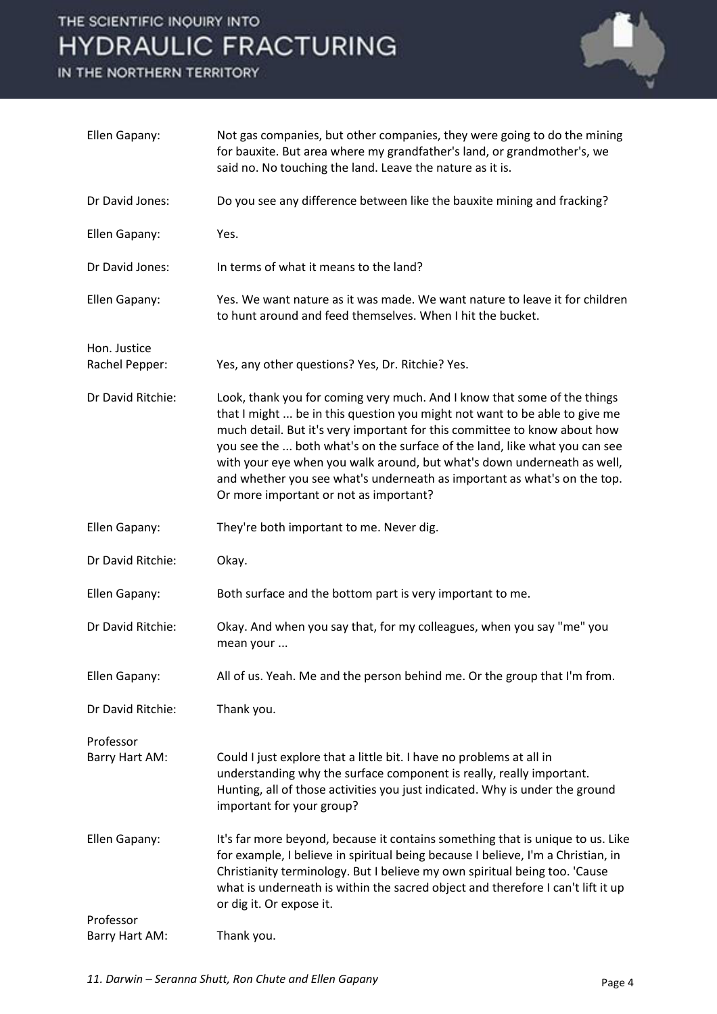### THE SCIENTIFIC INQUIRY INTO **HYDRAULIC FRACTURING**

IN THE NORTHERN TERRITORY



| Ellen Gapany:                  | Not gas companies, but other companies, they were going to do the mining<br>for bauxite. But area where my grandfather's land, or grandmother's, we<br>said no. No touching the land. Leave the nature as it is.                                                                                                                                                                                                                                                                                                   |
|--------------------------------|--------------------------------------------------------------------------------------------------------------------------------------------------------------------------------------------------------------------------------------------------------------------------------------------------------------------------------------------------------------------------------------------------------------------------------------------------------------------------------------------------------------------|
| Dr David Jones:                | Do you see any difference between like the bauxite mining and fracking?                                                                                                                                                                                                                                                                                                                                                                                                                                            |
| Ellen Gapany:                  | Yes.                                                                                                                                                                                                                                                                                                                                                                                                                                                                                                               |
| Dr David Jones:                | In terms of what it means to the land?                                                                                                                                                                                                                                                                                                                                                                                                                                                                             |
| Ellen Gapany:                  | Yes. We want nature as it was made. We want nature to leave it for children<br>to hunt around and feed themselves. When I hit the bucket.                                                                                                                                                                                                                                                                                                                                                                          |
| Hon. Justice<br>Rachel Pepper: | Yes, any other questions? Yes, Dr. Ritchie? Yes.                                                                                                                                                                                                                                                                                                                                                                                                                                                                   |
| Dr David Ritchie:              | Look, thank you for coming very much. And I know that some of the things<br>that I might  be in this question you might not want to be able to give me<br>much detail. But it's very important for this committee to know about how<br>you see the  both what's on the surface of the land, like what you can see<br>with your eye when you walk around, but what's down underneath as well,<br>and whether you see what's underneath as important as what's on the top.<br>Or more important or not as important? |
| Ellen Gapany:                  | They're both important to me. Never dig.                                                                                                                                                                                                                                                                                                                                                                                                                                                                           |
| Dr David Ritchie:              | Okay.                                                                                                                                                                                                                                                                                                                                                                                                                                                                                                              |
| Ellen Gapany:                  | Both surface and the bottom part is very important to me.                                                                                                                                                                                                                                                                                                                                                                                                                                                          |
| Dr David Ritchie:              | Okay. And when you say that, for my colleagues, when you say "me" you<br>mean your                                                                                                                                                                                                                                                                                                                                                                                                                                 |
| Ellen Gapany:                  | All of us. Yeah. Me and the person behind me. Or the group that I'm from.                                                                                                                                                                                                                                                                                                                                                                                                                                          |
| Dr David Ritchie:              | Thank you.                                                                                                                                                                                                                                                                                                                                                                                                                                                                                                         |
| Professor<br>Barry Hart AM:    | Could I just explore that a little bit. I have no problems at all in<br>understanding why the surface component is really, really important.<br>Hunting, all of those activities you just indicated. Why is under the ground<br>important for your group?                                                                                                                                                                                                                                                          |
| Ellen Gapany:                  | It's far more beyond, because it contains something that is unique to us. Like<br>for example, I believe in spiritual being because I believe, I'm a Christian, in<br>Christianity terminology. But I believe my own spiritual being too. 'Cause<br>what is underneath is within the sacred object and therefore I can't lift it up<br>or dig it. Or expose it.                                                                                                                                                    |
| Professor<br>Barry Hart AM:    | Thank you.                                                                                                                                                                                                                                                                                                                                                                                                                                                                                                         |